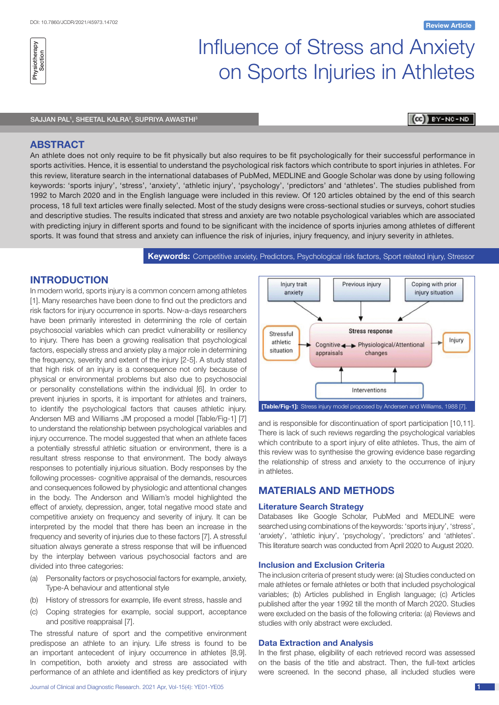# Influence of Stress and Anxiety on Sports Injuries in Athletes

#### SAJJAN PAL<sup>1</sup>, SHEETAL KALRA<sup>2</sup>, SUPRIYA AWASTHI<sup>3</sup>

## (CC) BY-NC-ND

# **ABSTRACT**

An athlete does not only require to be fit physically but also requires to be fit psychologically for their successful performance in sports activities. Hence, it is essential to understand the psychological risk factors which contribute to sport injuries in athletes. For this review, literature search in the international databases of PubMed, MEDLINE and Google Scholar was done by using following keywords: 'sports injury', 'stress', 'anxiety', 'athletic injury', 'psychology', 'predictors' and 'athletes'. The studies published from 1992 to March 2020 and in the English language were included in this review. Of 120 articles obtained by the end of this search process, 18 full text articles were finally selected. Most of the study designs were cross-sectional studies or surveys, cohort studies and descriptive studies. The results indicated that stress and anxiety are two notable psychological variables which are associated with predicting injury in different sports and found to be significant with the incidence of sports injuries among athletes of different sports. It was found that stress and anxiety can influence the risk of injuries, injury frequency, and injury severity in athletes.

**Keywords:** Competitive anxiety, Predictors, Psychological risk factors, Sport related injury, Stressor

# **INTRODUCTION**

In modern world, sports injury is a common concern among athletes [1]. Many researches have been done to find out the predictors and risk factors for injury occurrence in sports. Now-a-days researchers have been primarily interested in determining the role of certain psychosocial variables which can predict vulnerability or resiliency to injury. There has been a growing realisation that psychological factors, especially stress and anxiety play a major role in determining the frequency, severity and extent of the injury [2-5]. A study stated that high risk of an injury is a consequence not only because of physical or environmental problems but also due to psychosocial or personality constellations within the individual [6]. In order to prevent injuries in sports, it is important for athletes and trainers, to identify the psychological factors that causes athletic injury. Andersen MB and Williams JM proposed a model [Table/Fig-1] [7] to understand the relationship between psychological variables and injury occurrence. The model suggested that when an athlete faces a potentially stressful athletic situation or environment, there is a resultant stress response to that environment. The body always responses to potentially injurious situation. Body responses by the following processes- cognitive appraisal of the demands, resources and consequences followed by physiologic and attentional changes in the body. The Anderson and William's model highlighted the effect of anxiety, depression, anger, total negative mood state and competitive anxiety on frequency and severity of injury. It can be interpreted by the model that there has been an increase in the frequency and severity of injuries due to these factors [7]. A stressful situation always generate a stress response that will be influenced by the interplay between various psychosocial factors and are divided into three categories:

- (a) Personality factors or psychosocial factors for example, anxiety, Type-A behaviour and attentional style
- (b) History of stressors for example, life event stress, hassle and
- (c) Coping strategies for example, social support, acceptance and positive reappraisal [7].

The stressful nature of sport and the competitive environment predispose an athlete to an injury. Life stress is found to be an important antecedent of injury occurrence in athletes [8,9]. In competition, both anxiety and stress are associated with performance of an athlete and identified as key predictors of injury



and is responsible for discontinuation of sport participation [10,11]. There is lack of such reviews regarding the psychological variables which contribute to a sport injury of elite athletes. Thus, the aim of this review was to synthesise the growing evidence base regarding the relationship of stress and anxiety to the occurrence of injury in athletes.

# **Materials and Methods**

#### **Literature Search Strategy**

Databases like Google Scholar, PubMed and MEDLINE were searched using combinations of the keywords: 'sports injury', 'stress', 'anxiety', 'athletic injury', 'psychology', 'predictors' and 'athletes'. This literature search was conducted from April 2020 to August 2020.

# **Inclusion and Exclusion Criteria**

The inclusion criteria of present study were: (a) Studies conducted on male athletes or female athletes or both that included psychological variables; (b) Articles published in English language; (c) Articles published after the year 1992 till the month of March 2020. Studies were excluded on the basis of the following criteria: (a) Reviews and studies with only abstract were excluded.

#### **Data Extraction and Analysis**

In the first phase, eligibility of each retrieved record was assessed on the basis of the title and abstract. Then, the full-text articles were screened. In the second phase, all included studies were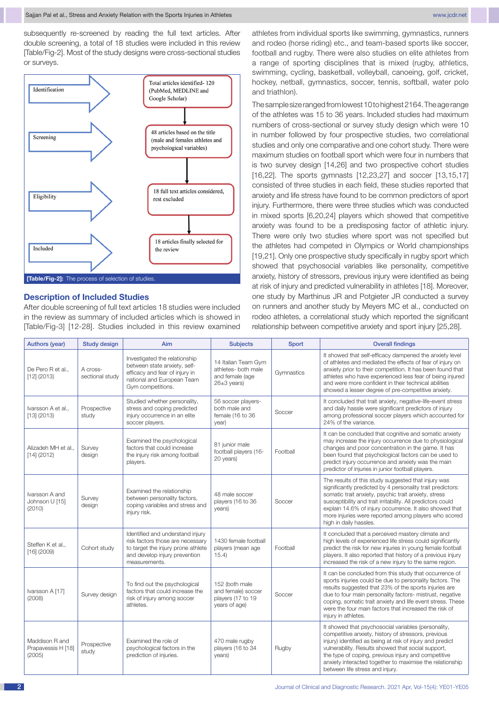subsequently re-screened by reading the full text articles. After double screening, a total of 18 studies were included in this review [Table/Fig-2]. Most of the study designs were cross-sectional studies or surveys.



#### **Description of Included Studies**

After double screening of full text articles 18 studies were included in the review as summary of included articles which is showed in [Table/Fig-3] [12-28]. Studies included in this review examined

athletes from individual sports like swimming, gymnastics, runners and rodeo (horse riding) etc., and team-based sports like soccer, football and rugby. There were also studies on elite athletes from a range of sporting disciplines that is mixed (rugby, athletics, swimming, cycling, basketball, volleyball, canoeing, golf, cricket, hockey, netball, gymnastics, soccer, tennis, softball, water polo and triathlon).

The sample size ranged from lowest 10 to highest 2164. The age range of the athletes was 15 to 36 years. Included studies had maximum numbers of cross-sectional or survey study design which were 10 in number followed by four prospective studies, two correlational studies and only one comparative and one cohort study. There were maximum studies on football sport which were four in numbers that is two survey design [14,26] and two prospective cohort studies [16,22]. The sports gymnasts [12,23,27] and soccer [13,15,17] consisted of three studies in each field, these studies reported that anxiety and life stress have found to be common predictors of sport injury. Furthermore, there were three studies which was conducted in mixed sports [6,20,24] players which showed that competitive anxiety was found to be a predisposing factor of athletic injury. There were only two studies where sport was not specified but the athletes had competed in Olympics or World championships [19,21]. Only one prospective study specifically in rugby sport which showed that psychosocial variables like personality, competitive anxiety, history of stressors, previous injury were identified as being at risk of injury and predicted vulnerability in athletes [18]. Moreover, one study by Marthinus JR and Potgieter JR conducted a survey on runners and another study by Meyers MC et al., conducted on rodeo athletes, a correlational study which reported the significant relationship between competitive anxiety and sport injury [25,28].

| <b>Authors (year)</b>                          | <b>Study design</b>         | Aim                                                                                                                                                          | <b>Subjects</b>                                                                  | Sport      | <b>Overall findings</b>                                                                                                                                                                                                                                                                                                                                                               |
|------------------------------------------------|-----------------------------|--------------------------------------------------------------------------------------------------------------------------------------------------------------|----------------------------------------------------------------------------------|------------|---------------------------------------------------------------------------------------------------------------------------------------------------------------------------------------------------------------------------------------------------------------------------------------------------------------------------------------------------------------------------------------|
| De Pero R et al<br>$[12]$ (2013)               | A cross-<br>sectional study | Investigated the relationship<br>between state anxiety, self-<br>efficacy and fear of injury in<br>national and European Team<br>Gym competitions.           | 14 Italian Team Gym<br>athletes- both male<br>and female (age<br>$26\pm3$ years) | Gymnastics | It showed that self-efficacy dampened the anxiety level<br>of athletes and mediated the effects of fear of injury on<br>anxiety prior to their competition. It has been found that<br>athletes who have experienced less fear of being injured<br>and were more confident in their technical abilities<br>showed a lesser degree of pre-competitive anxiety.                          |
| Ivarsson A et al.,<br>$[13]$ (2013)            | Prospective<br>study        | Studied whether personality,<br>stress and coping predicted<br>injury occurrence in an elite<br>soccer players.                                              | 56 soccer players-<br>both male and<br>female (16 to 36<br>year)                 | Soccer     | It concluded that trait anxiety, negative-life-event stress<br>and daily hassle were significant predictors of injury<br>among professional soccer players which accounted for<br>24% of the variance.                                                                                                                                                                                |
| Alizadeh MH et al<br>$[14]$ (2012)             | Survey<br>design            | Examined the psychological<br>factors that could increase<br>the injury risk among football<br>players.                                                      | 81 junior male<br>football players (16-<br>20 years)                             | Football   | It can be concluded that cognitive and somatic anxiety<br>may increase the injury occurrence due to physiological<br>changes and poor concentration in the game. It has<br>been found that psychological factors can be used to<br>predict injury occurrence and anxiety was the main<br>predictor of injuries in junior football players.                                            |
| Ivarsson A and<br>Johnson U [15]<br>(2010)     | Survey<br>design            | Examined the relationship<br>between personality factors,<br>coping variables and stress and<br>injury risk.                                                 | 48 male soccer<br>players (16 to 36<br>years)                                    | Soccer     | The results of this study suggested that injury was<br>significantly predicted by 4 personality trait predictors:<br>somatic trait anxiety, psychic trait anxiety, stress<br>susceptibility and trait irritability. All predictors could<br>explain 14.6% of injury occurrence. It also showed that<br>more injuries were reported among players who scored<br>high in daily hassles. |
| Steffen K et al<br>$[16]$ (2009)               | Cohort study                | Identified and understand injury<br>risk factors those are necessary<br>to target the injury prone athlete<br>and develop injury prevention<br>measurements. | 1430 female football<br>players (mean age<br>15.4                                | Football   | It concluded that a perceived mastery climate and<br>high levels of experienced life stress could significantly<br>predict the risk for new injuries in young female football<br>players. It also reported that history of a previous injury<br>increased the risk of a new injury to the same region.                                                                                |
| Ivarsson A [17]<br>(2008)                      | Survey design               | To find out the psychological<br>factors that could increase the<br>risk of injury among soccer<br>athletes.                                                 | 152 (both male<br>and female) soccer<br>players (17 to 19<br>years of age)       | Soccer     | It can be concluded from this study that occurrence of<br>sports injuries could be due to personality factors. The<br>results suggested that 23% of the sports injuries are<br>due to four main personality factors- mistrust, negative<br>coping, somatic trait anxiety and life event stress. These<br>were the four main factors that increased the risk of<br>injury in athletes. |
| Maddison R and<br>Prapavessis H [18]<br>(2005) | Prospective<br>study        | Examined the role of<br>psychological factors in the<br>prediction of injuries.                                                                              | 470 male rugby<br>players (16 to 34<br>years)                                    | Rugby      | It showed that psychosocial variables (personality,<br>competitive anxiety, history of stressors, previous<br>injury) identified as being at risk of injury and predict<br>vulnerability. Results showed that social support,<br>the type of coping, previous injury and competitive<br>anxiety interacted together to maximise the relationship<br>between life stress and injury.   |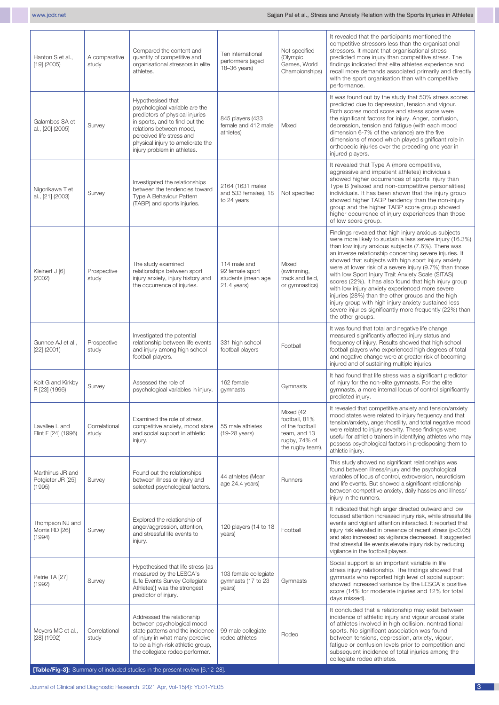| Hanton S et al.,<br>$[19]$ (2005)               | A comparative<br>study | Compared the content and<br>quantity of competitive and<br>organisational stressors in elite<br>athletes.                                                                                                                                                                              | Ten international<br>performers (aged<br>18-36 years)                  | Not specified<br>(Olympic<br>Games, World<br>Championships)                                        | It revealed that the participants mentioned the<br>competitive stressors less than the organisational<br>stressors. It meant that organisational stress<br>predicted more injury than competitive stress. The<br>findings indicated that elite athletes experience and<br>recall more demands associated primarily and directly<br>with the sport organisation than with competitive<br>performance.                                                                                                                                                                                                                                                                                                              |
|-------------------------------------------------|------------------------|----------------------------------------------------------------------------------------------------------------------------------------------------------------------------------------------------------------------------------------------------------------------------------------|------------------------------------------------------------------------|----------------------------------------------------------------------------------------------------|-------------------------------------------------------------------------------------------------------------------------------------------------------------------------------------------------------------------------------------------------------------------------------------------------------------------------------------------------------------------------------------------------------------------------------------------------------------------------------------------------------------------------------------------------------------------------------------------------------------------------------------------------------------------------------------------------------------------|
| Galambos SA et<br>al., [20] (2005)              | Survey                 | Hypothesised that<br>psychological variable are the<br>predictors of physical injuries<br>in sports, and to find out the<br>relations between mood,<br>perceived life stress and<br>physical injury to ameliorate the<br>injury problem in athletes.                                   | 845 players (433<br>female and 412 male<br>athletes)                   | Mixed                                                                                              | It was found out by the study that 50% stress scores<br>predicted due to depression, tension and vigour.<br>Both scores mood score and stress score were<br>the significant factors for injury. Anger, confusion,<br>depression, tension and fatigue (with each mood<br>dimension 6-7% of the variance) are the five<br>dimensions of mood which played significant role in<br>orthopedic injuries over the preceding one year in<br>injured players.                                                                                                                                                                                                                                                             |
| Nigorikawa T et<br>al., [21] (2003)             | Survey                 | Investigated the relationships<br>between the tendencies toward<br>Type A Behaviour Pattern<br>(TABP) and sports injuries.                                                                                                                                                             | 2164 (1631 males<br>and 533 females), 18<br>to 24 years                | Not specified                                                                                      | It revealed that Type A (more competitive,<br>aggressive and impatient athletes) individuals<br>showed higher occurrences of sports injury than<br>Type B (relaxed and non-competitive personalities)<br>individuals. It has been shown that the injury group<br>showed higher TABP tendency than the non-injury<br>group and the higher TABP score group showed<br>higher occurrence of injury experiences than those<br>of low score group.                                                                                                                                                                                                                                                                     |
| Kleinert J [6]<br>(2002)                        | Prospective<br>study   | The study examined<br>relationships between sport<br>injury anxiety, injury history and<br>the occurrence of injuries.                                                                                                                                                                 | 114 male and<br>92 female sport<br>students (mean age<br>$21.4$ years) | Mixed<br>(swimming,<br>track and field,<br>or gymnastics)                                          | Findings revealed that high injury anxious subjects<br>were more likely to sustain a less severe injury (16.3%)<br>than low injury anxious subjects (7.6%). There was<br>an inverse relationship concerning severe injuries. It<br>showed that subjects with high sport injury anxiety<br>were at lower risk of a severe injury (9.7%) than those<br>with low Sport Injury Trait Anxiety Scale (SITAS)<br>scores (22%). It has also found that high injury group<br>with low injury anxiety experienced more severe<br>injuries (28%) than the other groups and the high<br>injury group with high injury anxiety sustained less<br>severe injuries significantly more frequently (22%) than<br>the other groups. |
| Gunnoe AJ et al.,<br>$[22]$ (2001)              | Prospective<br>study   | Investigated the potential<br>relationship between life events<br>and injury among high school<br>football players.                                                                                                                                                                    | 331 high school<br>football players                                    | Football                                                                                           | It was found that total and negative life change<br>measured significantly affected injury status and<br>frequency of injury. Results showed that high school<br>football players who experienced high degrees of total<br>and negative change were at greater risk of becoming<br>injured and of sustaining multiple injuries.                                                                                                                                                                                                                                                                                                                                                                                   |
| Kolt G and Kirkby<br>R [23] (1996)              | Survey                 | Assessed the role of<br>psychological variables in injury.                                                                                                                                                                                                                             | 162 female<br>gymnasts                                                 | Gymnasts                                                                                           | It had found that life stress was a significant predictor<br>of injury for the non-elite gymnasts. For the elite<br>gymnasts, a more internal locus of control significantly<br>predicted injury.                                                                                                                                                                                                                                                                                                                                                                                                                                                                                                                 |
| Lavallee L and<br>Flint F [24] (1996)           | Correlational<br>study | Examined the role of stress.<br>competitive anxiety, mood state<br>and social support in athletic<br>injury.                                                                                                                                                                           | 55 male athletes<br>(19-28 years)                                      | Mixed (42<br>football, 81%<br>of the football<br>team, and 13<br>rugby, 74% of<br>the rugby team), | It revealed that competitive anxiety and tension/anxiety<br>mood states were related to injury frequency and that<br>tension/anxiety, anger/hostility, and total negative mood<br>were related to injury severity. These findings were<br>useful for athletic trainers in identifying athletes who may<br>possess psychological factors in predisposing them to<br>athletic injury.                                                                                                                                                                                                                                                                                                                               |
| Marthinus JR and<br>Potgieter JR [25]<br>(1995) | Survey                 | Found out the relationships<br>between illness or injury and<br>selected psychological factors.                                                                                                                                                                                        | 44 athletes (Mean<br>age 24.4 years)                                   | Runners                                                                                            | This study showed no significant relationships was<br>found between illness/injury and the psychological<br>variables of locus of control, extroversion, neuroticism<br>and life events. But showed a significant relationship<br>between competitive anxiety, daily hassles and illness/<br>injury in the runners.                                                                                                                                                                                                                                                                                                                                                                                               |
| Thompson NJ and<br>Morris RD [26]<br>(1994)     | Survey                 | Explored the relationship of<br>anger/aggression, attention,<br>and stressful life events to<br>injury.                                                                                                                                                                                | 120 players (14 to 18<br>years)                                        | Football                                                                                           | It indicated that high anger directed outward and low<br>focused attention increased injury risk, while stressful life<br>events and vigilant attention interacted. It reported that<br>injury risk elevated in presence of recent stress (p<0.05)<br>and also increased as vigilance decreased. It suggested<br>that stressful life events elevate injury risk by reducing<br>vigilance in the football players.                                                                                                                                                                                                                                                                                                 |
| Petrie TA [27]<br>(1992)                        | Survey                 | Hypothesised that life stress {as<br>measured by the LESCA's<br>(Life Events Survey Collegiate<br>Athletes)} was the strongest<br>predictor of injury.                                                                                                                                 | 103 female collegiate<br>gymnasts (17 to 23<br>years)                  | Gymnasts                                                                                           | Social support is an important variable in life<br>stress injury relationship. The findings showed that<br>gymnasts who reported high level of social support<br>showed increased variance by the LESCA's positive<br>score (14% for moderate injuries and 12% for total<br>days missed).                                                                                                                                                                                                                                                                                                                                                                                                                         |
| Meyers MC et al.,<br>$[28]$ (1992)              | Correlational<br>study | Addressed the relationship<br>between psychological mood<br>state patterns and the incidence<br>of injury in what many perceive<br>to be a high-risk athletic group,<br>the collegiate rodeo performer.<br>[Table/Fig-3]: Summary of included studies in the present review [6,12-28]. | 99 male collegiate<br>rodeo athletes                                   | Rodeo                                                                                              | It concluded that a relationship may exist between<br>incidence of athletic injury and vigour arousal state<br>of athletes involved in high collision, nontraditional<br>sports. No significant association was found<br>between tensions, depression, anxiety, vigour,<br>fatigue or confusion levels prior to competition and<br>subsequent incidence of total injuries among the<br>collegiate rodeo athletes.                                                                                                                                                                                                                                                                                                 |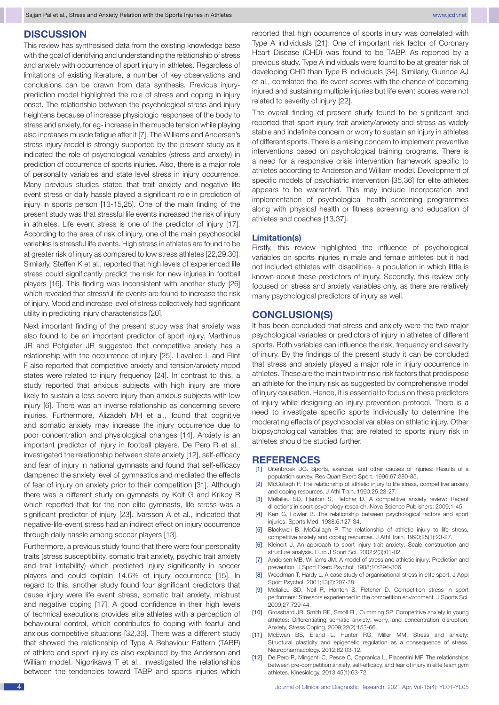# **DISCUSSION**

This review has synthesised data from the existing knowledge base with the goal of identifying and understanding the relationship of stress and anxiety with occurrence of sport injury in athletes. Regardless of limitations of existing literature, a number of key observations and conclusions can be drawn from data synthesis. Previous injuryprediction model highlighted the role of stress and coping in injury onset. The relationship between the psychological stress and injury heightens because of increase physiologic responses of the body to stress and anxiety, for eg- increase in the muscle tension while playing also increases muscle fatigue after it [7]. The Williams and Andersen's stress injury model is strongly supported by the present study as it indicated the role of psychological variables (stress and anxiety) in prediction of occurrence of sports injuries. Also, there is a major role of personality variables and state level stress in injury occurrence. Many previous studies stated that trait anxiety and negative life event stress or daily hassle played a significant role in prediction of injury in sports person [13-15,25]. One of the main finding of the present study was that stressful life events increased the risk of injury in athletes. Life event stress is one of the predictor of injury [17]. According to the area of risk of injury, one of the main psychosocial variables is stressful life events. High stress in athletes are found to be at greater risk of injury as compared to low stress athletes [22,29,30]. Similarly, Steffen K et al., reported that high levels of experienced life stress could significantly predict the risk for new injuries in football players [16]. This finding was inconsistent with another study [26] which revealed that stressful life events are found to increase the risk of injury. Mood and increase level of stress collectively had significant utility in predicting injury characteristics [20].

Next important finding of the present study was that anxiety was also found to be an important predictor of sport injury. Marthinus JR and Potgieter JR suggested that competitive anxiety has a relationship with the occurrence of injury [25]. Lavallee L and Flint F also reported that competitive anxiety and tension/anxiety mood states were related to injury frequency [24]. In contrast to this, a study reported that anxious subjects with high injury are more likely to sustain a less severe injury than anxious subjects with low injury [6]. There was an inverse relationship as concerning severe injuries. Furthermore, Alizadeh MH et al., found that cognitive and somatic anxiety may increase the injury occurrence due to poor concentration and physiological changes [14]. Anxiety is an important predictor of injury in football players. De Pero R et al., investigated the relationship between state anxiety [12], self-efficacy and fear of injury in national gymnasts and found that self-efficacy dampened the anxiety level of gymnastics and mediated the effects of fear of injury on anxiety prior to their competition [31]. Although there was a different study on gymnasts by Kolt G and Krikby R which reported that for the non-elite gymnasts, life stress was a significant predictor of injury [23]. Ivarsson A et al., indicated that negative-life-event stress had an indirect effect on injury occurrence through daily hassle among soccer players [13].

Furthermore, a previous study found that there were four personality traits (stress susceptibility, somatic trait anxiety, psychic trait anxiety and trait irritability) which predicted injury significantly in soccer players and could explain 14.6% of injury occurrence [15]. In regard to this, another study found four significant predictors that cause injury were life event stress, somatic trait anxiety, mistrust and negative coping [17]. A good confidence in their high levels of technical executions provides elite athletes with a perception of behavioural control, which contributes to coping with fearful and anxious competitive situations [32,33]. There was a different study that showed the relationship of Type A Behaviour Pattern (TABP) of athlete and sport injury as also explained by the Anderson and William model. Nigorikawa T et al., investigated the relationships between the tendencies toward TABP and sports injuries which

reported that high occurrence of sports injury was correlated with Type A individuals [21]. One of important risk factor of Coronary Heart Disease (CHD) was found to be TABP. As reported by a previous study, Type A individuals were found to be at greater risk of developing CHD than Type B individuals [34]. Similarly, Gunnoe AJ et al., correlated the life event scores with the chance of becoming injured and sustaining multiple injuries but life event scores were not related to severity of injury [22].

The overall finding of present study found to be significant and reported that sport injury trait anxiety/anxiety and stress as widely stable and indefinite concern or worry to sustain an injury in athletes of different sports. There is a raising concern to implement preventive interventions based on psychological training programs. There is a need for a responsive crisis intervention framework specific to athletes according to Anderson and William model. Development of specific models of psychiatric intervention [35,36] for elite athletes appears to be warranted. This may include incorporation and implementation of psychological health screening programmes along with physical health or fitness screening and education of athletes and coaches [13,37].

#### **Limitation(s)**

Firstly, this review highlighted the influence of psychological variables on sports injuries in male and female athletes but it had not included athletes with disabilities- a population in which little is known about these predictors of injury. Secondly, this review only focused on stress and anxiety variables only, as there are relatively many psychological predictors of injury as well.

# **CONCLUSION(S)**

It has been concluded that stress and anxiety were the two major psychological variables or predictors of injury in athletes of different sports. Both variables can influence the risk, frequency and severity of injury. By the findings of the present study it can be concluded that stress and anxiety played a major role in injury occurrence in athletes. These are the main two intrinsic risk factors that predispose an athlete for the injury risk as suggested by comprehensive model of injury causation. Hence, it is essential to focus on these predictors of injury while designing an injury prevention protocol. There is a need to investigate specific sports individually to determine the moderating effects of psychosocial variables on athletic injury. Other biopsychological variables that are related to sports injury risk in athletes should be studied further.

#### **REFERENCES**

- [1] Uitenbroek DG. Sports, exercise, and other causes of injuries: Results of a population survey. Res Quart Exerc Sport. 1996;67:380-85.
- [2] McCullagh P. The relationship of athletic injury to life stress, competitive anxiety and coping resources. J Athi Train. 1990;25:23-27.
- [3] Mellalieu SD, Hanton S, Fletcher D. A competitive anxiety review: Recent directions in sport psychology research. Nova Science Publishers; 2009;1-45.
- [4] Kerr G, Fowler B. The relationship between psychological factors and sport injuries. Sports Med. 1988;6:127-34.
- [5] Blackwell B, McCullagh P. The relationship of athletic injury to life stress, competitive anxiety and coping resources. J Athl Train. 1990;25(1):23-27.
- [6] Kleinert J. An approach to sport injury trait anxiety: Scale construction and structure analysis. Euro J Sport Sci. 2002;2(3):01-02.
- [7] Andersen MB, Williams JM. A model of stress and athletic injury: Prediction and prevention. J Sport Exerc Psychol. 1988;10:294-306.
- [8] Woodman T, Hardy L. A case study of organisational stress in elite sport. J Appl Sport Psychol. 2001;13(2):207-38.
- [9] Mellalieu SD, Neil R, Hanton S, Fletcher D. Competition stress in sport performers: Stressors experienced in the competition environment. J Sports Sci. 2009;27:729-44.
- [10] Grossbard JR, Smith RE, Smoll FL, Cumming SP. Competitive anxiety in young athletes: Differentiating somatic anxiety, worry, and concentration disruption. Anxiety, Stress Coping. 2009;22(2):153-66.
- [11] McEwen BS, Eiland L, Hunter RG, Miller MM, Stress and anxiety: Structural plasticity and epigenetic regulation as a consequence of stress. Neuropharmacology. 2012;62:03-12.
- [12] De Pero R, Minganti C, Pesce C, Capranica L, Piacentini MF. The relationships between pre-competition anxiety, self-efficacy, and fear of injury in elite team gym athletes. Kinesiology. 2013;45(1):63-72.